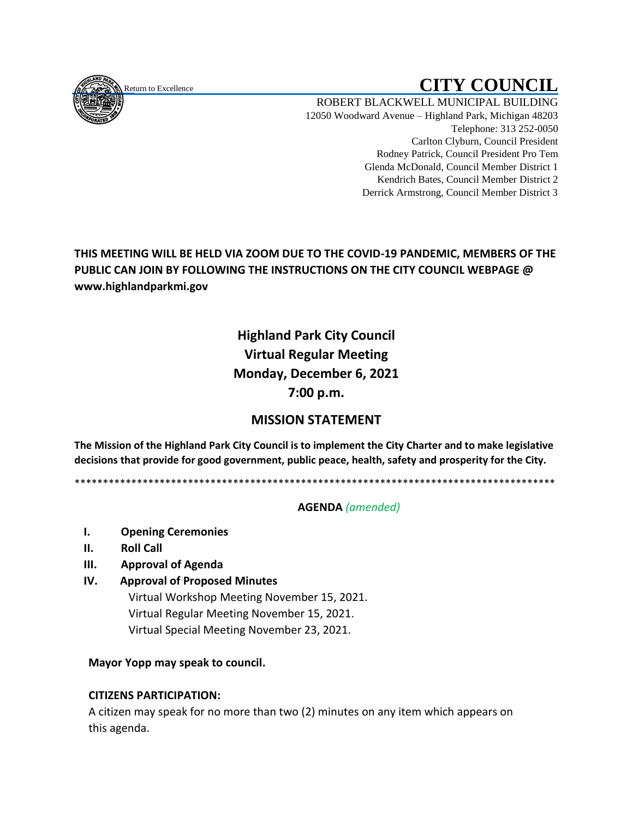<span id="page-0-0"></span>

# Return to Excellence **CITY COUNCIL**

ROBERT BLACKWELL MUNICIPAL BUILDING 12050 Woodward Avenue – Highland Park, Michigan 48203 Telephone: 313 252-0050 Carlton Clyburn, Council President Rodney Patrick, Council President Pro Tem Glenda McDonald, Council Member District 1 Kendrich Bates, Council Member District 2 Derrick Armstrong, Council Member District 3

**THIS MEETING WILL BE HELD VIA ZOOM DUE TO THE COVID-19 PANDEMIC, MEMBERS OF THE PUBLIC CAN JOIN BY FOLLOWING THE INSTRUCTIONS ON THE CITY COUNCIL WEBPAGE @ www.highlandparkmi.gov**

## **Highland Park City Council Virtual Regular Meeting Monday, December 6, 2021 7:00 p.m.**

### **MISSION STATEMENT**

**The Mission of the Highland Park City Council is to implement the City Charter and to make legislative decisions that provide for good government, public peace, health, safety and prosperity for the City.**

\*\*\*\*\*\*\*\*\*\*\*\*\*\*\*\*\*\*\*\*\*\*\*\*\*\*\*\*\*\*\*\*\*\*\*\*\*\*\*\*\*\*\*\*\*\*\*\*\*\*\*\*\*\*\*\*\*\*\*\*\*\*\*\*\*\*\*\*\*\*\*\*\*\*\*\*\*\*\*\*\*\*\*\*\*

#### **AGENDA** *(amended)*

- **I. Opening Ceremonies**
- **II. Roll Call**
- **III. Approval of Agenda**
- **IV. Approval of Proposed Minutes**

Virtual Workshop Meeting November 15, 2021. Virtual Regular Meeting November 15, 2021. Virtual Special Meeting November 23, 2021.

**Mayor Yopp may speak to council.** 

#### **CITIZENS PARTICIPATION:**

 A citizen may speak for no more than two (2) minutes on any item which appears on this agenda.